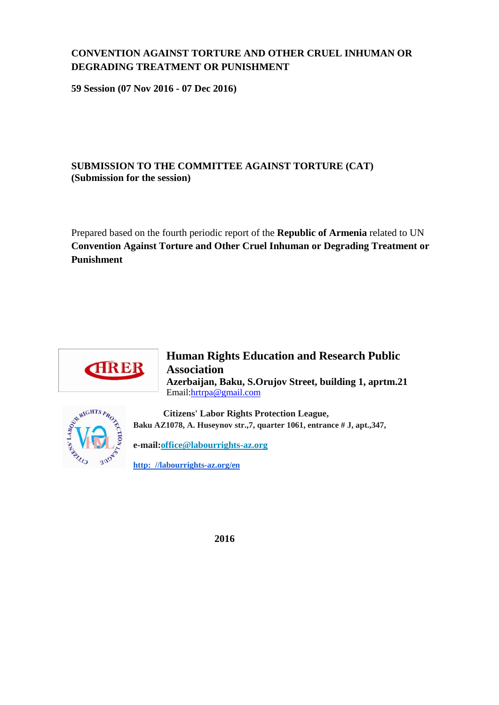# **CONVENTION AGAINST TORTURE AND OTHER CRUEL INHUMAN OR DEGRADING TREATMENT OR PUNISHMENT**

**59 Session (07 Nov 2016 - 07 Dec 2016)**

## **SUBMISSION TO THE COMMITTEE AGAINST TORTURE (CAT) (Submission for the session)**

Prepared based on the fourth periodic report of the **Republic of Armenia** related to UN **Convention Against Torture and Other Cruel Inhuman or Degrading Treatment or Punishment**



## **Human Rights Education and Research Public Association Azerbaijan, Baku, S.Orujov Street, building 1, aprtm.21**  Email[:hrtrpa@gmail.com](mailto:hrtrpa@gmail.com)



 **Citizens' Labor Rights Protection League, Baku AZ1078, A. Huseynov str.,7, quarter 1061, entrance # J, apt.,347,** 

**e-mail[:office@labourrights-az.org](mailto:office@labourrights-az.org)**

**[http: //labourrights-az.org/en](http://labourrights-az.org/en)**

 **2016**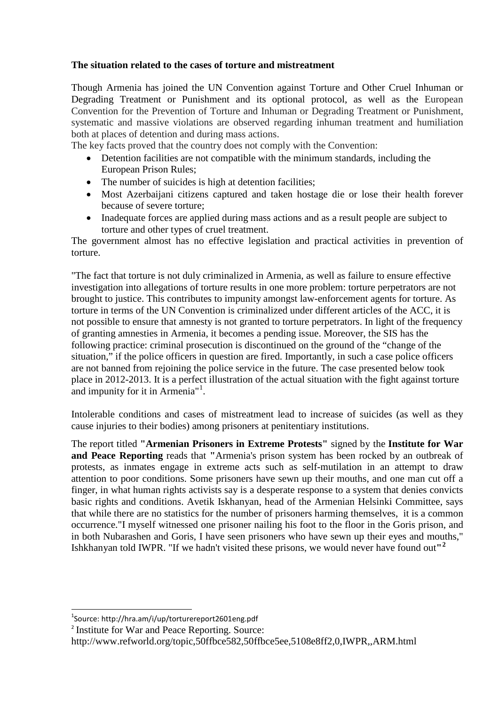### **The situation related to the cases of torture and mistreatment**

Though Armenia has joined the UN Convention against Torture and Other Cruel Inhuman or Degrading Treatment or Punishment and its optional protocol, as well as the European Convention for the Prevention of Torture and Inhuman or Degrading Treatment or Punishment, systematic and massive violations are observed regarding inhuman treatment and humiliation both at places of detention and during mass actions.

The key facts proved that the country does not comply with the Convention:

- Detention facilities are not compatible with the minimum standards, including the European Prison Rules;
- The number of suicides is high at detention facilities;
- Most Azerbaijani citizens captured and taken hostage die or lose their health forever because of severe torture;
- Inadequate forces are applied during mass actions and as a result people are subject to torture and other types of cruel treatment.

The government almost has no effective legislation and practical activities in prevention of torture.

"The fact that torture is not duly criminalized in Armenia, as well as failure to ensure effective investigation into allegations of torture results in one more problem: torture perpetrators are not brought to justice. This contributes to impunity amongst law-enforcement agents for torture. As torture in terms of the UN Convention is criminalized under different articles of the ACC, it is not possible to ensure that amnesty is not granted to torture perpetrators. In light of the frequency of granting amnesties in Armenia, it becomes a pending issue. Moreover, the SIS has the following practice: criminal prosecution is discontinued on the ground of the "change of the situation," if the police officers in question are fired. Importantly, in such a case police officers are not banned from rejoining the police service in the future. The case presented below took place in 2012-2013. It is a perfect illustration of the actual situation with the fight against torture and impunity for it in Armenia"<sup>[1](#page-1-0)</sup>.

Intolerable conditions and cases of mistreatment lead to increase of suicides (as well as they cause injuries to their bodies) among prisoners at penitentiary institutions.

The report titled **"Armenian Prisoners in Extreme Protests"** signed by the **Institute for War and Peace Reporting** reads that **"**Armenia's prison system has been rocked by an outbreak of protests, as inmates engage in extreme acts such as self-mutilation in an attempt to draw attention to poor conditions. Some prisoners have sewn up their mouths, and one man cut off a finger, in what human rights activists say is a desperate response to a system that denies convicts basic rights and conditions. Avetik Iskhanyan, head of the Armenian Helsinki Committee, says that while there are no statistics for the number of prisoners harming themselves, it is a common occurrence."I myself witnessed one prisoner nailing his foot to the floor in the Goris prison, and in both Nubarashen and Goris, I have seen prisoners who have sewn up their eyes and mouths," Ishkhanyan told IWPR. "If we hadn't visited these prisons, we would never have found out**"[2](#page-1-1)**

 $\overline{a}$ 

<span id="page-1-1"></span><sup>2</sup> Institute for War and Peace Reporting. Source:

<span id="page-1-0"></span><sup>1</sup> Source: http://hra.am/i/up/torturereport2601eng.pdf

http://www.refworld.org/topic,50ffbce582,50ffbce5ee,5108e8ff2,0,IWPR,,ARM.html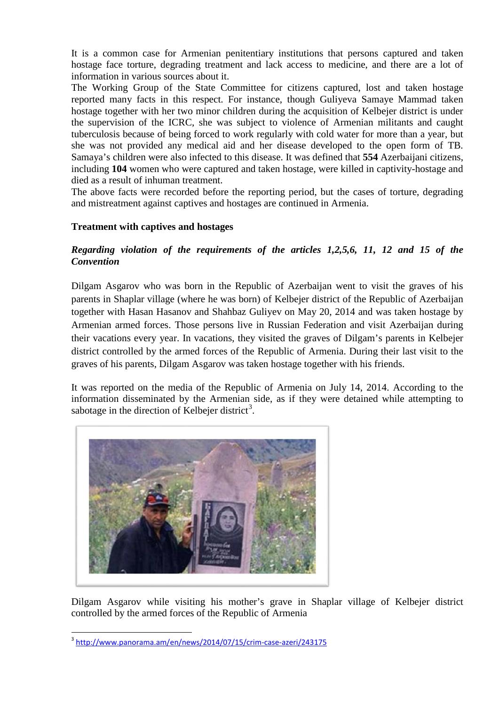It is a common case for Armenian penitentiary institutions that persons captured and taken hostage face torture, degrading treatment and lack access to medicine, and there are a lot of information in various sources about it.

The Working Group of the State Committee for citizens captured, lost and taken hostage reported many facts in this respect. For instance, though Guliyeva Samaye Mammad taken hostage together with her two minor children during the acquisition of Kelbejer district is under the supervision of the ICRC, she was subject to violence of Armenian militants and caught tuberculosis because of being forced to work regularly with cold water for more than a year, but she was not provided any medical aid and her disease developed to the open form of TB. Samaya's children were also infected to this disease. It was defined that **554** Azerbaijani citizens, including **104** women who were captured and taken hostage, were killed in captivity-hostage and died as a result of inhuman treatment.

The above facts were recorded before the reporting period, but the cases of torture, degrading and mistreatment against captives and hostages are continued in Armenia.

#### **Treatment with captives and hostages**

## *Regarding violation of the requirements of the articles 1,2,5,6, 11, 12 and 15 of the Convention*

Dilgam Asgarov who was born in the Republic of Azerbaijan went to visit the graves of his parents in Shaplar village (where he was born) of Kelbejer district of the Republic of Azerbaijan together with Hasan Hasanov and Shahbaz Guliyev on May 20, 2014 and was taken hostage by Armenian armed forces. Those persons live in Russian Federation and visit Azerbaijan during their vacations every year. In vacations, they visited the graves of Dilgam's parents in Kelbejer district controlled by the armed forces of the Republic of Armenia. During their last visit to the graves of his parents, Dilgam Asgarov was taken hostage together with his friends.

It was reported on the media of the Republic of Armenia on July 14, 2014. According to the information disseminated by the Armenian side, as if they were detained while attempting to sabotage in the direction of Kelbejer district<sup>[3](#page-2-0)</sup>.



Dilgam Asgarov while visiting his mother's grave in Shaplar village of Kelbejer district controlled by the armed forces of the Republic of Armenia

<span id="page-2-0"></span><sup>3</sup> <http://www.panorama.am/en/news/2014/07/15/crim-case-azeri/243175>  $\overline{a}$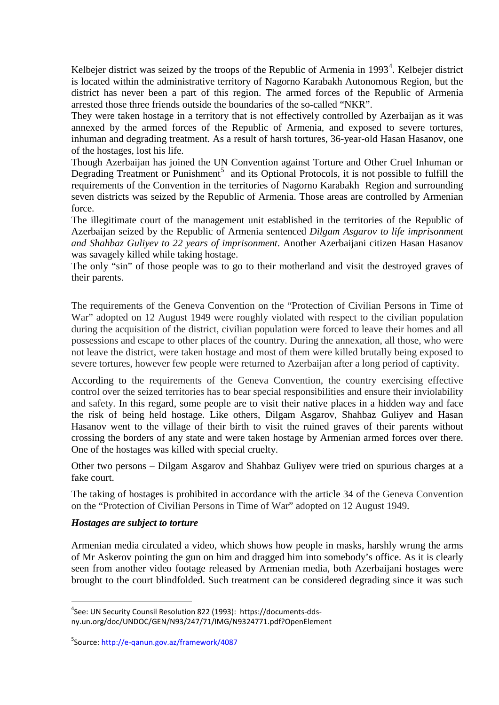Kelbejer district was seized by the troops of the Republic of Armenia in  $1993<sup>4</sup>$  $1993<sup>4</sup>$  $1993<sup>4</sup>$ . Kelbejer district is located within the administrative territory of Nagorno Karabakh Autonomous Region, but the district has never been a part of this region. The armed forces of the Republic of Armenia arrested those three friends outside the boundaries of the so-called "NKR".

They were taken hostage in a territory that is not effectively controlled by Azerbaijan as it was annexed by the armed forces of the Republic of Armenia, and exposed to severe tortures, inhuman and degrading treatment. As a result of harsh tortures, 36-year-old Hasan Hasanov, one of the hostages, lost his life.

Though Azerbaijan has joined the UN Convention against Torture and Other Cruel Inhuman or Degrading Treatment or Punishment<sup>[5](#page-3-1)</sup> and its Optional Protocols, it is not possible to fulfill the requirements of the Convention in the territories of Nagorno Karabakh Region and surrounding seven districts was seized by the Republic of Armenia. Those areas are controlled by Armenian force.

The illegitimate court of the management unit established in the territories of the Republic of Azerbaijan seized by the Republic of Armenia sentenced *Dilgam Asgarov to life imprisonment and Shahbaz Guliyev to 22 years of imprisonment*. Another Azerbaijani citizen Hasan Hasanov was savagely killed while taking hostage.

The only "sin" of those people was to go to their motherland and visit the destroyed graves of their parents.

The requirements of the Geneva Convention on the "Protection of Civilian Persons in Time of War" adopted on 12 August 1949 were roughly violated with respect to the civilian population during the acquisition of the district, civilian population were forced to leave their homes and all possessions and escape to other places of the country. During the annexation, all those, who were not leave the district, were taken hostage and most of them were killed brutally being exposed to severe tortures, however few people were returned to Azerbaijan after a long period of captivity.

According to the requirements of the Geneva Convention, the country exercising effective control over the seized territories has to bear special responsibilities and ensure their inviolability and safety. In this regard, some people are to visit their native places in a hidden way and face the risk of being held hostage. Like others, Dilgam Asgarov, Shahbaz Guliyev and Hasan Hasanov went to the village of their birth to visit the ruined graves of their parents without crossing the borders of any state and were taken hostage by Armenian armed forces over there. One of the hostages was killed with special cruelty.

Other two persons – Dilgam Asgarov and Shahbaz Guliyev were tried on spurious charges at a fake court.

The taking of hostages is prohibited in accordance with the article 34 of the Geneva Convention on the "Protection of Civilian Persons in Time of War" adopted on 12 August 1949.

#### *Hostages are subject to torture*

 $\overline{a}$ 

Armenian media circulated a video, which shows how people in masks, harshly wrung the arms of Mr Askerov pointing the gun on him and dragged him into somebody's office. As it is clearly seen from another video footage released by Armenian media, both Azerbaijani hostages were brought to the court blindfolded. Such treatment can be considered degrading since it was such

<span id="page-3-0"></span><sup>4</sup> See: UN Security Counsil Resolution 822 (1993): https://documents-ddsny.un.org/doc/UNDOC/GEN/N93/247/71/IMG/N9324771.pdf?OpenElement

<span id="page-3-1"></span><sup>&</sup>lt;sup>5</sup>Source:<http://e-qanun.gov.az/framework/4087>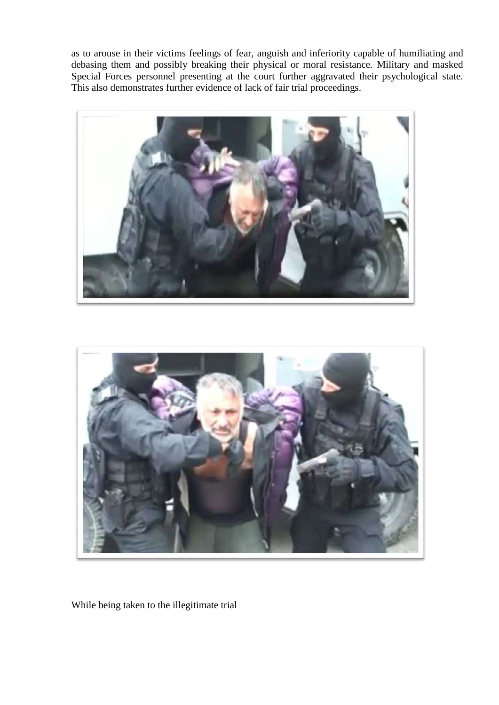as to arouse in their victims feelings of fear, anguish and inferiority capable of humiliating and debasing them and possibly breaking their physical or moral resistance. Military and masked Special Forces personnel presenting at the court further aggravated their psychological state. This also demonstrates further evidence of lack of fair trial proceedings.





While being taken to the illegitimate trial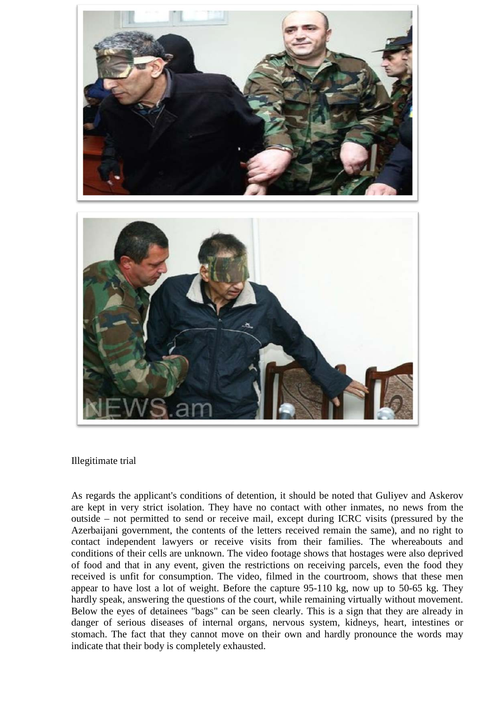

Illegitimate trial

As regards the applicant's conditions of detention, it should be noted that Guliyev and Askerov are kept in very strict isolation. They have no contact with other inmates, no news from the outside – not permitted to send or receive mail, except during ICRC visits (pressured by the Azerbaijani government, the contents of the letters received remain the same), and no right to contact independent lawyers or receive visits from their families. The whereabouts and conditions of their cells are unknown. The video footage shows that hostages were also deprived of food and that in any event, given the restrictions on receiving parcels, even the food they received is unfit for consumption. The video, filmed in the courtroom, shows that these men appear to have lost a lot of weight. Before the capture 95-110 kg, now up to 50-65 kg. They hardly speak, answering the questions of the court, while remaining virtually without movement. Below the eyes of detainees "bags" can be seen clearly. This is a sign that they are already in danger of serious diseases of internal organs, nervous system, kidneys, heart, intestines or stomach. The fact that they cannot move on their own and hardly pronounce the words may indicate that their body is completely exhausted.